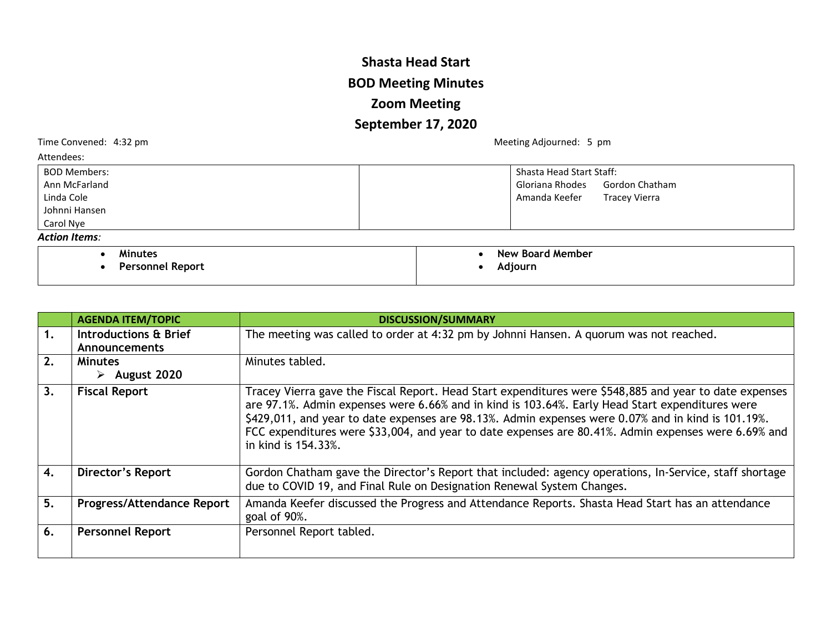## **Shasta Head Start BOD Meeting Minutes Zoom Meeting September 17, 2020**

Time Convened: 4:32 pm and the Convened: 4:32 pm

| Attendees:              |                                       |
|-------------------------|---------------------------------------|
| <b>BOD Members:</b>     | <b>Shasta Head Start Staff:</b>       |
| Ann McFarland           | Gloriana Rhodes<br>Gordon Chatham     |
| Linda Cole              | Amanda Keefer<br><b>Tracey Vierra</b> |
| Johnni Hansen           |                                       |
| Carol Nye               |                                       |
| <b>Action Items:</b>    |                                       |
| <b>Minutes</b>          | New Board Member                      |
| <b>Personnel Report</b> | Adjourn                               |

|                | <b>AGENDA ITEM/TOPIC</b>          | <b>DISCUSSION/SUMMARY</b>                                                                                                                                                                                                                                                                                                                                                                                                                     |
|----------------|-----------------------------------|-----------------------------------------------------------------------------------------------------------------------------------------------------------------------------------------------------------------------------------------------------------------------------------------------------------------------------------------------------------------------------------------------------------------------------------------------|
| $\mathbf{1}$ . | Introductions & Brief             | The meeting was called to order at 4:32 pm by Johnni Hansen. A quorum was not reached.                                                                                                                                                                                                                                                                                                                                                        |
|                | <b>Announcements</b>              |                                                                                                                                                                                                                                                                                                                                                                                                                                               |
| 2.             | <b>Minutes</b>                    | Minutes tabled.                                                                                                                                                                                                                                                                                                                                                                                                                               |
|                | $\triangleright$ August 2020      |                                                                                                                                                                                                                                                                                                                                                                                                                                               |
| 3.             | <b>Fiscal Report</b>              | Tracey Vierra gave the Fiscal Report. Head Start expenditures were \$548,885 and year to date expenses<br>are 97.1%. Admin expenses were 6.66% and in kind is 103.64%. Early Head Start expenditures were<br>\$429,011, and year to date expenses are 98.13%. Admin expenses were 0.07% and in kind is 101.19%.<br>FCC expenditures were \$33,004, and year to date expenses are 80.41%. Admin expenses were 6.69% and<br>in kind is 154.33%. |
| 4.             | <b>Director's Report</b>          | Gordon Chatham gave the Director's Report that included: agency operations, In-Service, staff shortage<br>due to COVID 19, and Final Rule on Designation Renewal System Changes.                                                                                                                                                                                                                                                              |
| 5.             | <b>Progress/Attendance Report</b> | Amanda Keefer discussed the Progress and Attendance Reports. Shasta Head Start has an attendance<br>goal of 90%.                                                                                                                                                                                                                                                                                                                              |
| 6.             | <b>Personnel Report</b>           | Personnel Report tabled.                                                                                                                                                                                                                                                                                                                                                                                                                      |